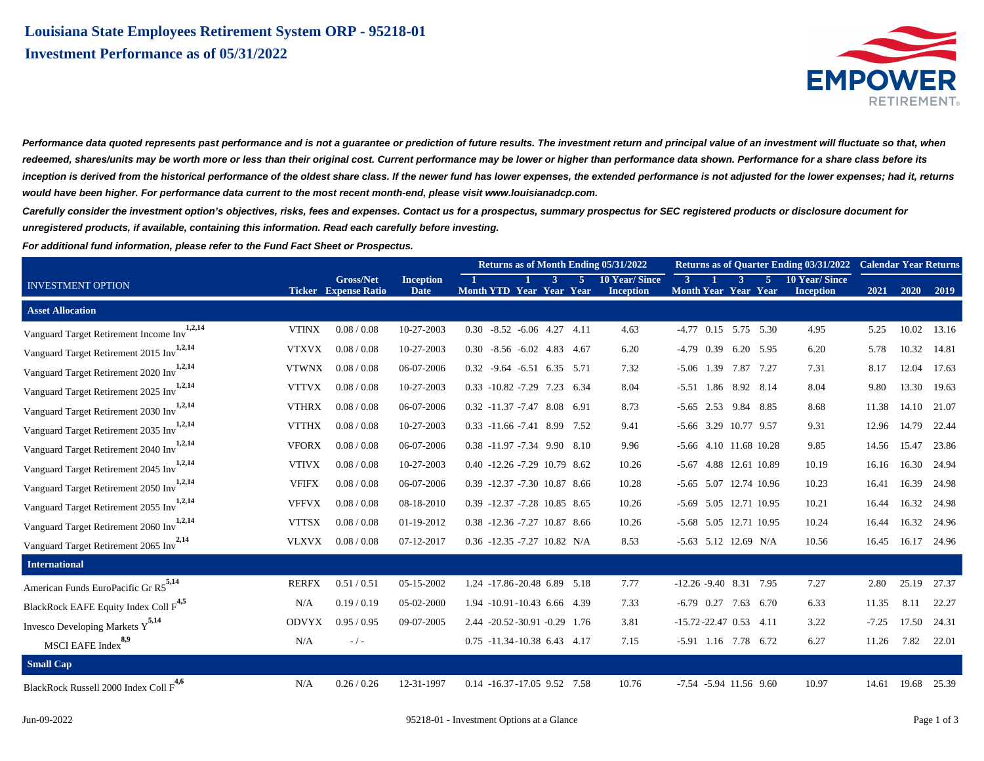

Performance data quoted represents past performance and is not a guarantee or prediction of future results. The investment return and principal value of an investment will fluctuate so that, when **redeemed, shares/units may be worth more or less than their original cost. Current performance may be lower or higher than performance data shown. Performance for a share class before its inception is derived from the historical performance of the oldest share class. If the newer fund has lower expenses, the extended performance is not adjusted for the lower expenses; had it, returns would have been higher. For performance data current to the most recent month-end, please visit www.louisianadcp.com.**

**Carefully consider the investment option's objectives, risks, fees and expenses. Contact us for a prospectus, summary prospectus for SEC registered products or disclosure document for unregistered products, if available, containing this information. Read each carefully before investing.**

**For additional fund information, please refer to the Fund Fact Sheet or Prospectus.**

|                                                       |              | <b>Gross/Net</b><br><b>Ticker</b> Expense Ratio | <b>Inception</b><br>Date | Returns as of Month Ending 05/31/2022 |  |  |     |                                          |       |              |                            | Returns as of Quarter Ending 03/31/2022 Calendar Year Returns |                                          |         |             |       |
|-------------------------------------------------------|--------------|-------------------------------------------------|--------------------------|---------------------------------------|--|--|-----|------------------------------------------|-------|--------------|----------------------------|---------------------------------------------------------------|------------------------------------------|---------|-------------|-------|
| <b>INVESTMENT OPTION</b>                              |              |                                                 |                          | Month YTD Year Year Year              |  |  | -51 | <b>10 Year/Since</b><br><b>Inception</b> | $3 -$ |              | <sup>3</sup>               | $5^{\circ}$<br><b>Month Year Year Year</b>                    | <b>10 Year/Since</b><br><b>Inception</b> | 2021    | 2020        | 2019  |
| <b>Asset Allocation</b>                               |              |                                                 |                          |                                       |  |  |     |                                          |       |              |                            |                                                               |                                          |         |             |       |
| 1,2,14<br>Vanguard Target Retirement Income Inv       | <b>VTINX</b> | 0.08 / 0.08                                     | 10-27-2003               | $0.30 -8.52 -6.06$ 4.27 4.11          |  |  |     | 4.63                                     |       |              |                            | $-4.77$ 0.15 5.75 5.30                                        | 4.95                                     | 5.25    | 10.02       | 13.16 |
| Vanguard Target Retirement 2015 Inv <sup>1,2,14</sup> | <b>VTXVX</b> | 0.08 / 0.08                                     | 10-27-2003               | $0.30 -8.56 -6.02 +8.34 -4.67$        |  |  |     | 6.20                                     |       |              |                            | $-4.79$ 0.39 6.20 5.95                                        | 6.20                                     | 5.78    | 10.32       | 14.81 |
| Vanguard Target Retirement 2020 Inv <sup>1,2,14</sup> | <b>VTWNX</b> | 0.08 / 0.08                                     | 06-07-2006               | $0.32 -9.64 -6.51 6.35 5.71$          |  |  |     | 7.32                                     |       | $-5.06$ 1.39 | 7.87                       | 7.27                                                          | 7.31                                     | 8.17    | 12.04       | 17.63 |
| Vanguard Target Retirement 2025 Inv <sup>1,2,14</sup> | <b>VTTVX</b> | 0.08 / 0.08                                     | 10-27-2003               | 0.33 -10.82 -7.29 7.23 6.34           |  |  |     | 8.04                                     |       |              | -5.51 1.86 8.92 8.14       |                                                               | 8.04                                     | 9.80    | 13.30       | 19.63 |
| Vanguard Target Retirement 2030 Inv <sup>1,2,14</sup> | <b>VTHRX</b> | 0.08 / 0.08                                     | 06-07-2006               | 0.32 -11.37 -7.47 8.08 6.91           |  |  |     | 8.73                                     |       |              | -5.65 2.53 9.84 8.85       |                                                               | 8.68                                     | 11.38   | 14.10       | 21.07 |
| Vanguard Target Retirement 2035 Inv <sup>1,2,14</sup> | <b>VTTHX</b> | 0.08 / 0.08                                     | 10-27-2003               | 0.33 -11.66 -7.41 8.99 7.52           |  |  |     | 9.41                                     |       |              | -5.66 3.29 10.77 9.57      |                                                               | 9.31                                     | 12.96   | 14.79       | 22.44 |
| Vanguard Target Retirement 2040 Inv <sup>1,2,14</sup> | <b>VFORX</b> | 0.08 / 0.08                                     | 06-07-2006               | 0.38 -11.97 -7.34 9.90 8.10           |  |  |     | 9.96                                     |       |              |                            | -5.66 4.10 11.68 10.28                                        | 9.85                                     | 14.56   | 15.47       | 23.86 |
| Vanguard Target Retirement 2045 Inv <sup>1,2,14</sup> | <b>VTIVX</b> | 0.08 / 0.08                                     | 10-27-2003               | $0.40 -12.26 -7.29$ 10.79 8.62        |  |  |     | 10.26                                    |       |              |                            | -5.67 4.88 12.61 10.89                                        | 10.19                                    | 16.16   | 16.30       | 24.94 |
| Vanguard Target Retirement 2050 Inv <sup>1,2,14</sup> | <b>VFIFX</b> | 0.08 / 0.08                                     | 06-07-2006               | 0.39 -12.37 -7.30 10.87 8.66          |  |  |     | 10.28                                    |       |              |                            | -5.65 5.07 12.74 10.96                                        | 10.23                                    | 16.41   | 16.39       | 24.98 |
| 1,2,14<br>Vanguard Target Retirement 2055 Inv         | <b>VFFVX</b> | 0.08 / 0.08                                     | 08-18-2010               | 0.39 -12.37 -7.28 10.85 8.65          |  |  |     | 10.26                                    |       |              |                            | -5.69 5.05 12.71 10.95                                        | 10.21                                    | 16.44   | 16.32       | 24.98 |
| Vanguard Target Retirement 2060 Inv <sup>1,2,14</sup> | <b>VTTSX</b> | 0.08 / 0.08                                     | 01-19-2012               | 0.38 -12.36 -7.27 10.87 8.66          |  |  |     | 10.26                                    |       |              |                            | -5.68 5.05 12.71 10.95                                        | 10.24                                    | 16.44   | 16.32       | 24.96 |
| Vanguard Target Retirement 2065 Inv <sup>2,14</sup>   | <b>VLXVX</b> | 0.08 / 0.08                                     | 07-12-2017               | $0.36 -12.35 -7.27$ 10.82 N/A         |  |  |     | 8.53                                     |       |              |                            | -5.63 5.12 12.69 N/A                                          | 10.56                                    | 16.45   | 16.17       | 24.96 |
| <b>International</b>                                  |              |                                                 |                          |                                       |  |  |     |                                          |       |              |                            |                                                               |                                          |         |             |       |
| American Funds EuroPacific Gr R5 <sup>5,14</sup>      | <b>RERFX</b> | 0.51/0.51                                       | 05-15-2002               | 1.24 -17.86-20.48 6.89 5.18           |  |  |     | 7.77                                     |       |              | $-12.26 - 9.40$ 8.31 7.95  |                                                               | 7.27                                     | 2.80    | 25.19       | 27.37 |
| BlackRock EAFE Equity Index Coll F <sup>4,5</sup>     | N/A          | 0.19/0.19                                       | 05-02-2000               | 1.94 -10.91 -10.43 6.66 4.39          |  |  |     | 7.33                                     |       |              |                            | $-6.79$ 0.27 7.63 6.70                                        | 6.33                                     | 11.35   | 8.11        | 22.27 |
| Invesco Developing Markets $Y^{5,14}$                 | <b>ODVYX</b> | 0.95/0.95                                       | 09-07-2005               | 2.44 -20.52 -30.91 -0.29 1.76         |  |  |     | 3.81                                     |       |              | $-15.72 - 22.47$ 0.53 4.11 |                                                               | 3.22                                     | $-7.25$ | 17.50       | 24.31 |
| MSCI EAFE Index <sup>8,9</sup>                        | N/A          | $-$ / $-$                                       |                          | 0.75 -11.34 -10.38 6.43 4.17          |  |  |     | 7.15                                     |       |              |                            | -5.91 1.16 7.78 6.72                                          | 6.27                                     | 11.26   | 7.82        | 22.01 |
| <b>Small Cap</b>                                      |              |                                                 |                          |                                       |  |  |     |                                          |       |              |                            |                                                               |                                          |         |             |       |
| 4,6<br>BlackRock Russell 2000 Index Coll F            | N/A          | 0.26 / 0.26                                     | 12-31-1997               | 0.14 -16.37 -17.05 9.52 7.58          |  |  |     | 10.76                                    |       |              | -7.54 -5.94 11.56 9.60     |                                                               | 10.97                                    |         | 14.61 19.68 | 25.39 |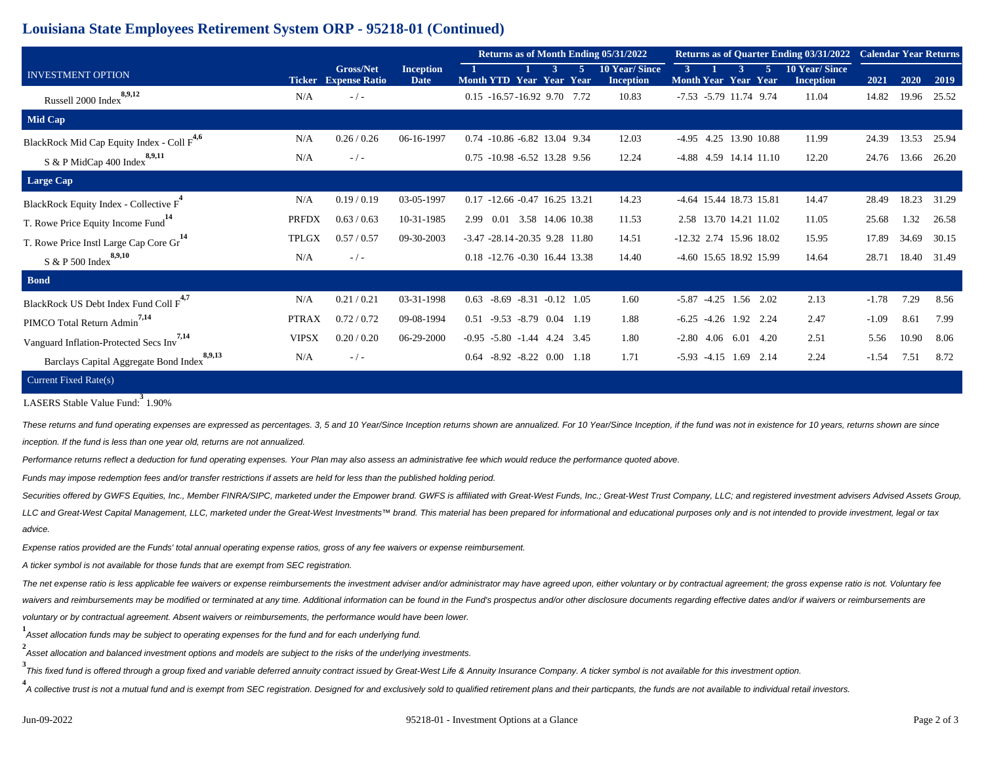## **Louisiana State Employees Retirement System ORP - 95218-01 (Continued)**

| <b>INVESTMENT OPTION</b>                               |              | <b>Gross/Net</b><br><b>Ticker</b> Expense Ratio | <b>Inception</b><br>Date | Returns as of Month Ending 05/31/2022 |                         | <b>Returns as of Quarter Ending 03/31/2022</b> | <b>Calendar Year Returns</b> |                               |                                                            |         |       |       |
|--------------------------------------------------------|--------------|-------------------------------------------------|--------------------------|---------------------------------------|-------------------------|------------------------------------------------|------------------------------|-------------------------------|------------------------------------------------------------|---------|-------|-------|
|                                                        |              |                                                 |                          | Month YTD Year Year Year              |                         | <b>10 Year/Since</b><br><b>Inception</b>       | 3 <sup>1</sup>               | <b>Month Year Year Year</b>   | <b>10 Year/Since</b><br>$\overline{5}$<br><b>Inception</b> | 2021    | 2020  | 2019  |
| 8,9,12<br>Russell 2000 Index                           | N/A          | $-$ / $-$                                       |                          | 0.15 -16.57 -16.92 9.70 7.72          |                         | 10.83                                          |                              | -7.53 -5.79 11.74 9.74        | 11.04                                                      | 14.82   | 19.96 | 25.52 |
| Mid Cap                                                |              |                                                 |                          |                                       |                         |                                                |                              |                               |                                                            |         |       |       |
| BlackRock Mid Cap Equity Index - Coll F <sup>4,6</sup> | N/A          | 0.26 / 0.26                                     | 06-16-1997               | 0.74 -10.86 -6.82 13.04 9.34          |                         | 12.03                                          |                              | -4.95 4.25 13.90 10.88        | 11.99                                                      | 24.39   | 13.53 | 25.94 |
| S & P MidCap 400 Index $8,9,11$                        | N/A          | $-/-$                                           |                          | 0.75 -10.98 -6.52 13.28 9.56          |                         | 12.24                                          |                              | -4.88 4.59 14.14 11.10        | 12.20                                                      | 24.76   | 13.66 | 26.20 |
| <b>Large Cap</b>                                       |              |                                                 |                          |                                       |                         |                                                |                              |                               |                                                            |         |       |       |
| BlackRock Equity Index - Collective F <sup>*</sup>     | N/A          | 0.19/0.19                                       | 03-05-1997               | 0.17 -12.66 -0.47 16.25 13.21         |                         | 14.23                                          |                              | -4.64 15.44 18.73 15.81       | 14.47                                                      | 28.49   | 18.23 | 31.29 |
| T. Rowe Price Equity Income Fund <sup>14</sup>         | <b>PRFDX</b> | 0.63 / 0.63                                     | 10-31-1985               | 2.99 0.01 3.58 14.06 10.38            |                         | 11.53                                          |                              | 2.58 13.70 14.21 11.02        | 11.05                                                      | 25.68   | 1.32  | 26.58 |
| T. Rowe Price Instl Large Cap Core Gr <sup>14</sup>    | <b>TPLGX</b> | 0.57 / 0.57                                     | 09-30-2003               | $-3.47 - 28.14 - 20.35$ 9.28 11.80    |                         | 14.51                                          |                              | $-12.32$ 2.74 15.96 18.02     | 15.95                                                      | 17.89   | 34.69 | 30.15 |
| S & P 500 $\mathrm{Index}^{8,9,10}$                    | N/A          | $-$ / $-$                                       |                          | 0.18 -12.76 -0.30 16.44 13.38         |                         | 14.40                                          |                              | -4.60 15.65 18.92 15.99       | 14.64                                                      | 28.71   | 18.40 | 31.49 |
| <b>Bond</b>                                            |              |                                                 |                          |                                       |                         |                                                |                              |                               |                                                            |         |       |       |
| BlackRock US Debt Index Fund Coll F <sup>4,7</sup>     | N/A          | 0.21 / 0.21                                     | 03-31-1998               | $0.63 -8.69 -8.31 -0.12$ 1.05         |                         | 1.60                                           |                              | $-5.87$ $-4.25$ 1.56 2.02     | 2.13                                                       | $-1.78$ | 7.29  | 8.56  |
| PIMCO Total Return Admin <sup>7,14</sup>               | <b>PTRAX</b> | 0.72 / 0.72                                     | 09-08-1994               | 0.51                                  | $-9.53 -8.79$ 0.04 1.19 | 1.88                                           |                              | $-6.25$ $-4.26$ $1.92$ $2.24$ | 2.47                                                       | $-1.09$ | 8.61  | 7.99  |
| 7,14<br>Vanguard Inflation-Protected Secs Inv          | <b>VIPSX</b> | 0.20 / 0.20                                     | 06-29-2000               | $-0.95$ $-5.80$ $-1.44$ $4.24$ $3.45$ |                         | 1.80                                           |                              | $-2.80$ 4.06 6.01 4.20        | 2.51                                                       | 5.56    | 10.90 | 8.06  |
| 8,9,13<br>Barclays Capital Aggregate Bond Index        | N/A          | $-$ / $-$                                       |                          | 0.64                                  | $-8.92 -8.22$ 0.00 1.18 | 1.71                                           |                              | $-5.93$ $-4.15$ $1.69$ $2.14$ | 2.24                                                       | $-1.54$ | 7.51  | 8.72  |
| Current Fixed Rate(s)                                  |              |                                                 |                          |                                       |                         |                                                |                              |                               |                                                            |         |       |       |

LASERS Stable Value Fund: **3** 1.90%

These returns and fund operating expenses are expressed as percentages. 3, 5 and 10 Year/Since Inception returns shown are annualized. For 10 Year/Since Inception, if the fund was not in existence for 10 years, returns sho inception. If the fund is less than one year old, returns are not annualized.

Performance returns reflect a deduction for fund operating expenses. Your Plan may also assess an administrative fee which would reduce the performance quoted above.

Funds may impose redemption fees and/or transfer restrictions if assets are held for less than the published holding period.

Securities offered by GWFS Equities, Inc., Member FINRA/SIPC, marketed under the Empower brand. GWFS is affiliated with Great-West Funds, Inc.; Great-West Trust Company, LLC; and registered investment advisers Advised Asse LLC and Great-West Capital Management, LLC, marketed under the Great-West Investments™ brand. This material has been prepared for informational and educational purposes only and is not intended to provide investment, lega advice.

Expense ratios provided are the Funds' total annual operating expense ratios, gross of any fee waivers or expense reimbursement.

A ticker symbol is not available for those funds that are exempt from SEC registration.

The net expense ratio is less applicable fee waivers or expense reimbursements the investment adviser and/or administrator may have agreed upon, either voluntary or by contractual agreement; the gross expense ratio is not. waivers and reimbursements may be modified or terminated at any time. Additional information can be found in the Fund's prospectus and/or other disclosure documents regarding effective dates and/or if waivers or reimbursem voluntary or by contractual agreement. Absent waivers or reimbursements, the performance would have been lower.

**1** Asset allocation funds may be subject to operating expenses for the fund and for each underlying fund.

**2** .<br>Asset allocation and balanced investment options and models are subject to the risks of the underlying investments.

**3** This fixed fund is offered through a group fixed and variable deferred annuity contract issued by Great-West Life & Annuity Insurance Company. A ticker symbol is not available for this investment option.

4<br>A collective trust is not a mutual fund and is exempt from SEC registration. Designed for and exclusively sold to qualified retirement plans and their particpants, the funds are not available to individual retail investo